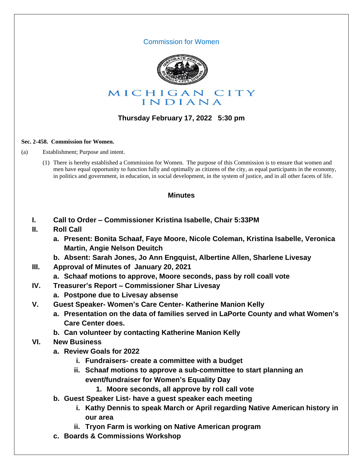## Commission for Women



## **Thursday February 17, 2022 5:30 pm**

#### **Sec. 2-458. Commission for Women.**

(a) Establishment; Purpose and intent.

(1) There is hereby established a Commission for Women. The purpose of this Commission is to ensure that women and men have equal opportunity to function fully and optimally as citizens of the city, as equal participants in the economy, in politics and government, in education, in social development, in the system of justice, and in all other facets of life.

## **Minutes**

- **I. Call to Order – Commissioner Kristina Isabelle, Chair 5:33PM**
- **II. Roll Call**
	- **a. Present: Bonita Schaaf, Faye Moore, Nicole Coleman, Kristina Isabelle, Veronica Martin, Angie Nelson Deuitch**
	- **b. Absent: Sarah Jones, Jo Ann Engquist, Albertine Allen, Sharlene Livesay**
- **III. Approval of Minutes of January 20, 2021**
	- **a. Schaaf motions to approve, Moore seconds, pass by roll coall vote**
- **IV. Treasurer's Report – Commissioner Shar Livesay**
	- **a. Postpone due to Livesay absense**
- **V. Guest Speaker- Women's Care Center- Katherine Manion Kelly**
	- **a. Presentation on the data of families served in LaPorte County and what Women's Care Center does.**
	- **b. Can volunteer by contacting Katherine Manion Kelly**
- **VI. New Business**
	- **a. Review Goals for 2022**
		- **i. Fundraisers- create a committee with a budget**
		- **ii. Schaaf motions to approve a sub-committee to start planning an event/fundraiser for Women's Equality Day**
			- **1. Moore seconds, all approve by roll call vote**
	- **b. Guest Speaker List- have a guest speaker each meeting**
		- **i. Kathy Dennis to speak March or April regarding Native American history in our area**
		- **ii. Tryon Farm is working on Native American program**
	- **c. Boards & Commissions Workshop**